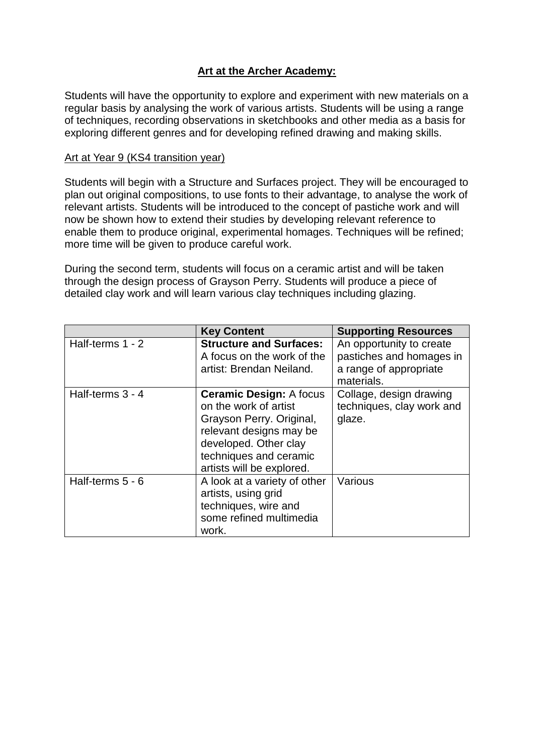# **Art at the Archer Academy:**

Students will have the opportunity to explore and experiment with new materials on a regular basis by analysing the work of various artists. Students will be using a range of techniques, recording observations in sketchbooks and other media as a basis for exploring different genres and for developing refined drawing and making skills.

#### Art at Year 9 (KS4 transition year)

Students will begin with a Structure and Surfaces project. They will be encouraged to plan out original compositions, to use fonts to their advantage, to analyse the work of relevant artists. Students will be introduced to the concept of pastiche work and will now be shown how to extend their studies by developing relevant reference to enable them to produce original, experimental homages. Techniques will be refined; more time will be given to produce careful work.

During the second term, students will focus on a ceramic artist and will be taken through the design process of Grayson Perry. Students will produce a piece of detailed clay work and will learn various clay techniques including glazing.

|                  | <b>Key Content</b>                                                                                                                                                                             | <b>Supporting Resources</b>                                                                  |
|------------------|------------------------------------------------------------------------------------------------------------------------------------------------------------------------------------------------|----------------------------------------------------------------------------------------------|
| Half-terms 1 - 2 | <b>Structure and Surfaces:</b><br>A focus on the work of the<br>artist: Brendan Neiland.                                                                                                       | An opportunity to create<br>pastiches and homages in<br>a range of appropriate<br>materials. |
| Half-terms 3 - 4 | <b>Ceramic Design: A focus</b><br>on the work of artist<br>Grayson Perry. Original,<br>relevant designs may be<br>developed. Other clay<br>techniques and ceramic<br>artists will be explored. | Collage, design drawing<br>techniques, clay work and<br>glaze.                               |
| Half-terms 5 - 6 | A look at a variety of other<br>artists, using grid<br>techniques, wire and<br>some refined multimedia<br>work.                                                                                | Various                                                                                      |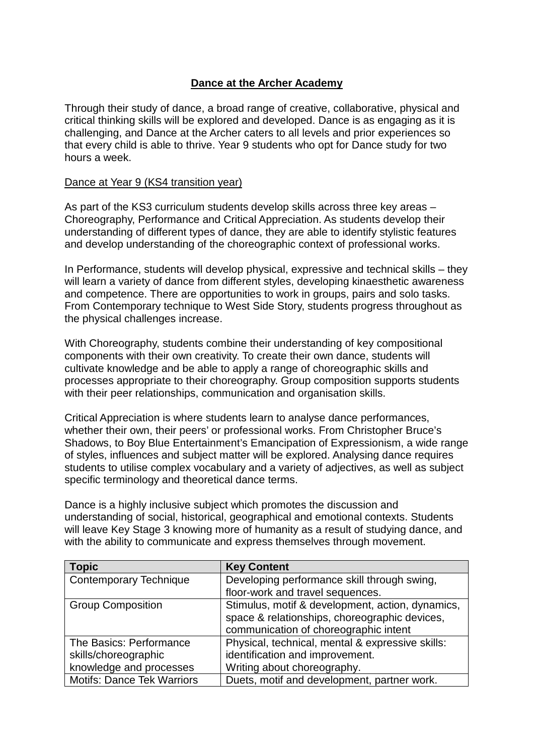## **Dance at the Archer Academy**

Through their study of dance, a broad range of creative, collaborative, physical and critical thinking skills will be explored and developed. Dance is as engaging as it is challenging, and Dance at the Archer caters to all levels and prior experiences so that every child is able to thrive. Year 9 students who opt for Dance study for two hours a week.

#### Dance at Year 9 (KS4 transition year)

As part of the KS3 curriculum students develop skills across three key areas – Choreography, Performance and Critical Appreciation. As students develop their understanding of different types of dance, they are able to identify stylistic features and develop understanding of the choreographic context of professional works.

In Performance, students will develop physical, expressive and technical skills – they will learn a variety of dance from different styles, developing kinaesthetic awareness and competence. There are opportunities to work in groups, pairs and solo tasks. From Contemporary technique to West Side Story, students progress throughout as the physical challenges increase.

With Choreography, students combine their understanding of key compositional components with their own creativity. To create their own dance, students will cultivate knowledge and be able to apply a range of choreographic skills and processes appropriate to their choreography. Group composition supports students with their peer relationships, communication and organisation skills.

Critical Appreciation is where students learn to analyse dance performances, whether their own, their peers' or professional works. From Christopher Bruce's Shadows, to Boy Blue Entertainment's Emancipation of Expressionism, a wide range of styles, influences and subject matter will be explored. Analysing dance requires students to utilise complex vocabulary and a variety of adjectives, as well as subject specific terminology and theoretical dance terms.

Dance is a highly inclusive subject which promotes the discussion and understanding of social, historical, geographical and emotional contexts. Students will leave Key Stage 3 knowing more of humanity as a result of studying dance, and with the ability to communicate and express themselves through movement.

| <b>Topic</b>                      | <b>Key Content</b>                               |  |
|-----------------------------------|--------------------------------------------------|--|
| <b>Contemporary Technique</b>     | Developing performance skill through swing,      |  |
|                                   | floor-work and travel sequences.                 |  |
| <b>Group Composition</b>          | Stimulus, motif & development, action, dynamics, |  |
|                                   | space & relationships, choreographic devices,    |  |
|                                   | communication of choreographic intent            |  |
| The Basics: Performance           | Physical, technical, mental & expressive skills: |  |
| skills/choreographic              | identification and improvement.                  |  |
| knowledge and processes           | Writing about choreography.                      |  |
| <b>Motifs: Dance Tek Warriors</b> | Duets, motif and development, partner work.      |  |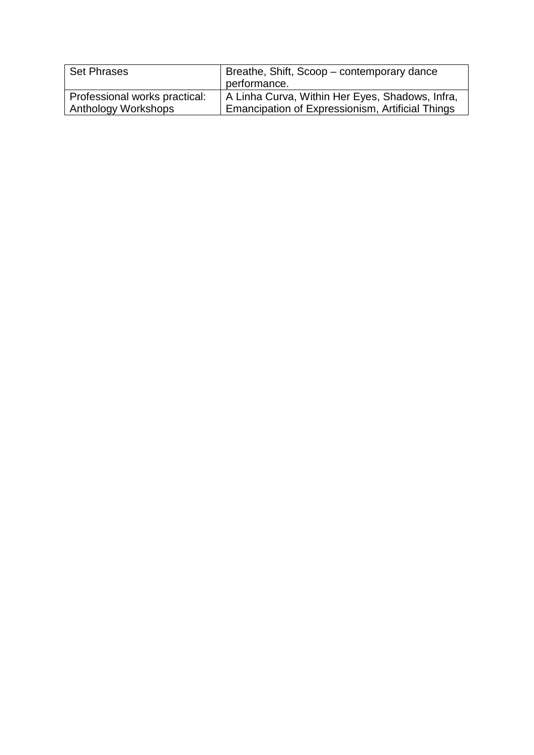| <b>Set Phrases</b>            | Breathe, Shift, Scoop - contemporary dance       |  |
|-------------------------------|--------------------------------------------------|--|
|                               | performance.                                     |  |
| Professional works practical: | A Linha Curva, Within Her Eyes, Shadows, Infra,  |  |
| Anthology Workshops           | Emancipation of Expressionism, Artificial Things |  |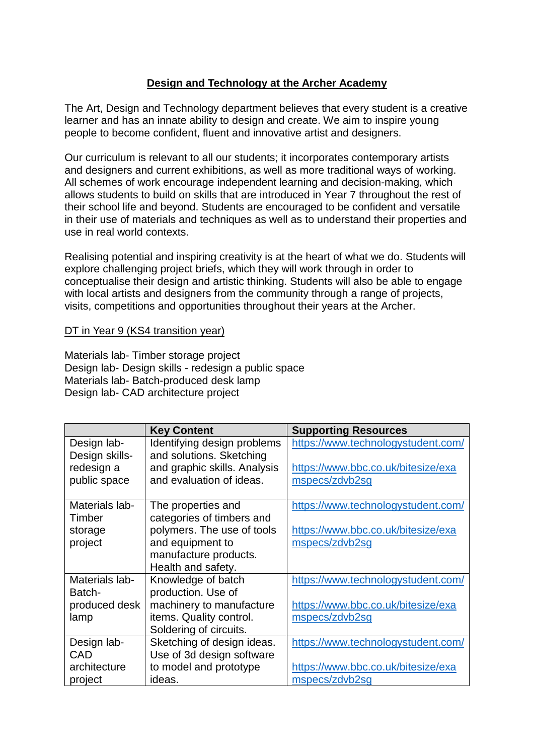## **Design and Technology at the Archer Academy**

The Art, Design and Technology department believes that every student is a creative learner and has an innate ability to design and create. We aim to inspire young people to become confident, fluent and innovative artist and designers.

Our curriculum is relevant to all our students; it incorporates contemporary artists and designers and current exhibitions, as well as more traditional ways of working. All schemes of work encourage independent learning and decision-making, which allows students to build on skills that are introduced in Year 7 throughout the rest of their school life and beyond. Students are encouraged to be confident and versatile in their use of materials and techniques as well as to understand their properties and use in real world contexts.

Realising potential and inspiring creativity is at the heart of what we do. Students will explore challenging project briefs, which they will work through in order to conceptualise their design and artistic thinking. Students will also be able to engage with local artists and designers from the community through a range of projects, visits, competitions and opportunities throughout their years at the Archer.

### DT in Year 9 (KS4 transition year)

Materials lab- Timber storage project Design lab- Design skills - redesign a public space Materials lab- Batch-produced desk lamp Design lab- CAD architecture project

|                | <b>Key Content</b>           | <b>Supporting Resources</b>        |
|----------------|------------------------------|------------------------------------|
| Design lab-    | Identifying design problems  | https://www.technologystudent.com/ |
| Design skills- | and solutions. Sketching     |                                    |
| redesign a     | and graphic skills. Analysis | https://www.bbc.co.uk/bitesize/exa |
| public space   | and evaluation of ideas.     | mspecs/zdvb2sg                     |
|                |                              |                                    |
| Materials lab- | The properties and           | https://www.technologystudent.com/ |
| Timber         | categories of timbers and    |                                    |
| storage        | polymers. The use of tools   | https://www.bbc.co.uk/bitesize/exa |
| project        | and equipment to             | mspecs/zdvb2sg                     |
|                | manufacture products.        |                                    |
|                | Health and safety.           |                                    |
| Materials lab- | Knowledge of batch           | https://www.technologystudent.com/ |
| Batch-         | production. Use of           |                                    |
| produced desk  | machinery to manufacture     | https://www.bbc.co.uk/bitesize/exa |
| lamp           | items. Quality control.      | mspecs/zdvb2sg                     |
|                | Soldering of circuits.       |                                    |
| Design lab-    | Sketching of design ideas.   | https://www.technologystudent.com/ |
| CAD            | Use of 3d design software    |                                    |
| architecture   | to model and prototype       | https://www.bbc.co.uk/bitesize/exa |
| project        | ideas.                       | mspecs/zdvb2sq                     |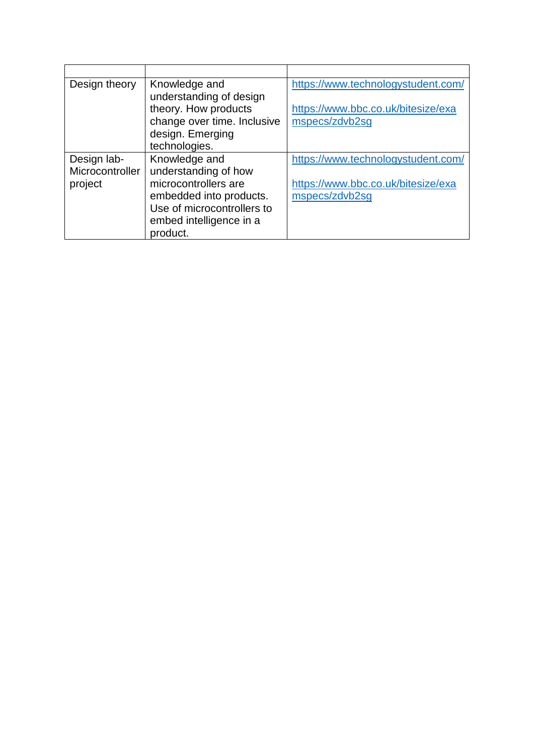| Design theory   | Knowledge and               | https://www.technologystudent.com/ |
|-----------------|-----------------------------|------------------------------------|
|                 | understanding of design     |                                    |
|                 | theory. How products        | https://www.bbc.co.uk/bitesize/exa |
|                 | change over time. Inclusive | mspecs/zdvb2sg                     |
|                 | design. Emerging            |                                    |
|                 | technologies.               |                                    |
| Design lab-     | Knowledge and               | https://www.technologystudent.com/ |
| Microcontroller | understanding of how        |                                    |
| project         | microcontrollers are        | https://www.bbc.co.uk/bitesize/exa |
|                 | embedded into products.     | mspecs/zdvb2sg                     |
|                 | Use of microcontrollers to  |                                    |
|                 | embed intelligence in a     |                                    |
|                 | product.                    |                                    |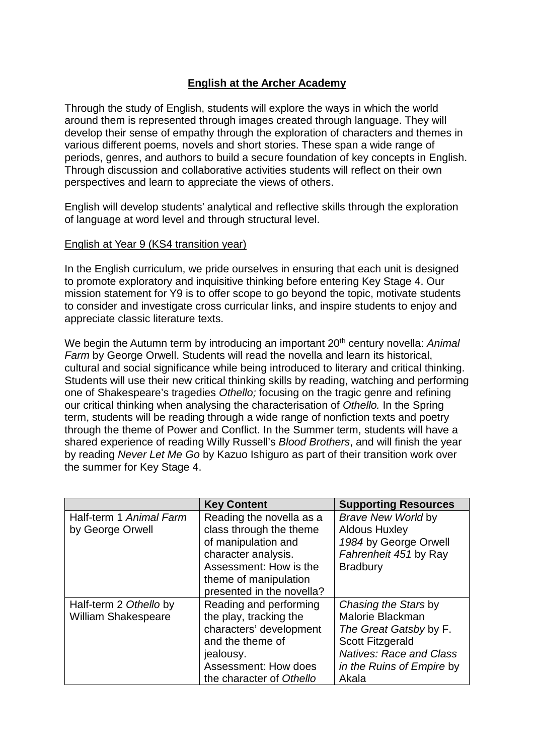### **English at the Archer Academy**

Through the study of English, students will explore the ways in which the world around them is represented through images created through language. They will develop their sense of empathy through the exploration of characters and themes in various different poems, novels and short stories. These span a wide range of periods, genres, and authors to build a secure foundation of key concepts in English. Through discussion and collaborative activities students will reflect on their own perspectives and learn to appreciate the views of others.

English will develop students' analytical and reflective skills through the exploration of language at word level and through structural level.

#### English at Year 9 (KS4 transition year)

In the English curriculum, we pride ourselves in ensuring that each unit is designed to promote exploratory and inquisitive thinking before entering Key Stage 4. Our mission statement for Y9 is to offer scope to go beyond the topic, motivate students to consider and investigate cross curricular links, and inspire students to enjoy and appreciate classic literature texts.

We begin the Autumn term by introducing an important 20<sup>th</sup> century novella: *Animal Farm* by George Orwell. Students will read the novella and learn its historical, cultural and social significance while being introduced to literary and critical thinking. Students will use their new critical thinking skills by reading, watching and performing one of Shakespeare's tragedies *Othello;* focusing on the tragic genre and refining our critical thinking when analysing the characterisation of *Othello.* In the Spring term, students will be reading through a wide range of nonfiction texts and poetry through the theme of Power and Conflict. In the Summer term, students will have a shared experience of reading Willy Russell's *Blood Brothers*, and will finish the year by reading *Never Let Me Go* by Kazuo Ishiguro as part of their transition work over the summer for Key Stage 4.

|                            | <b>Key Content</b>        | <b>Supporting Resources</b>    |
|----------------------------|---------------------------|--------------------------------|
| Half-term 1 Animal Farm    | Reading the novella as a  | <b>Brave New World by</b>      |
| by George Orwell           | class through the theme   | <b>Aldous Huxley</b>           |
|                            | of manipulation and       | 1984 by George Orwell          |
|                            | character analysis.       | Fahrenheit 451 by Ray          |
|                            | Assessment: How is the    | <b>Bradbury</b>                |
|                            | theme of manipulation     |                                |
|                            | presented in the novella? |                                |
| Half-term 2 Othello by     | Reading and performing    | Chasing the Stars by           |
| <b>William Shakespeare</b> | the play, tracking the    | Malorie Blackman               |
|                            | characters' development   | The Great Gatsby by F.         |
|                            | and the theme of          | Scott Fitzgerald               |
|                            | jealousy.                 | <b>Natives: Race and Class</b> |
|                            | Assessment: How does      | in the Ruins of Empire by      |
|                            | the character of Othello  | Akala                          |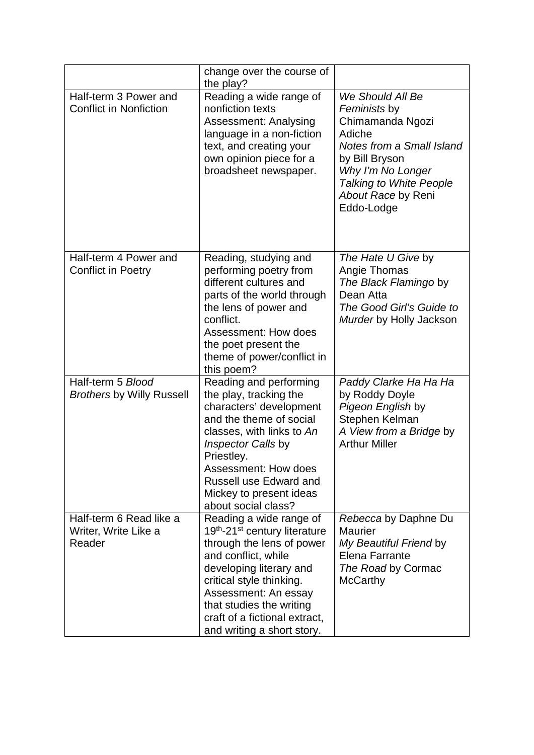|                                                           | change over the course of<br>the play?                                                                                                                                                                                                                                                                         |                                                                                                                                                                                                          |
|-----------------------------------------------------------|----------------------------------------------------------------------------------------------------------------------------------------------------------------------------------------------------------------------------------------------------------------------------------------------------------------|----------------------------------------------------------------------------------------------------------------------------------------------------------------------------------------------------------|
| Half-term 3 Power and<br><b>Conflict in Nonfiction</b>    | Reading a wide range of<br>nonfiction texts<br><b>Assessment: Analysing</b><br>language in a non-fiction<br>text, and creating your<br>own opinion piece for a<br>broadsheet newspaper.                                                                                                                        | We Should All Be<br>Feminists by<br>Chimamanda Ngozi<br>Adiche<br>Notes from a Small Island<br>by Bill Bryson<br>Why I'm No Longer<br><b>Talking to White People</b><br>About Race by Reni<br>Eddo-Lodge |
| Half-term 4 Power and<br><b>Conflict in Poetry</b>        | Reading, studying and<br>performing poetry from<br>different cultures and<br>parts of the world through<br>the lens of power and<br>conflict.<br>Assessment: How does<br>the poet present the<br>theme of power/conflict in<br>this poem?                                                                      | The Hate U Give by<br>Angie Thomas<br>The Black Flamingo by<br>Dean Atta<br>The Good Girl's Guide to<br>Murder by Holly Jackson                                                                          |
| Half-term 5 Blood<br><b>Brothers by Willy Russell</b>     | Reading and performing<br>the play, tracking the<br>characters' development<br>and the theme of social<br>classes, with links to An<br>Inspector Calls by<br>Priestley.<br>Assessment: How does<br><b>Russell use Edward and</b><br>Mickey to present ideas<br>about social class?                             | Paddy Clarke Ha Ha Ha<br>by Roddy Doyle<br>Pigeon English by<br>Stephen Kelman<br>A View from a Bridge by<br><b>Arthur Miller</b>                                                                        |
| Half-term 6 Read like a<br>Writer, Write Like a<br>Reader | Reading a wide range of<br>19 <sup>th</sup> -21 <sup>st</sup> century literature<br>through the lens of power<br>and conflict, while<br>developing literary and<br>critical style thinking.<br>Assessment: An essay<br>that studies the writing<br>craft of a fictional extract,<br>and writing a short story. | Rebecca by Daphne Du<br>Maurier<br>My Beautiful Friend by<br>Elena Farrante<br>The Road by Cormac<br><b>McCarthy</b>                                                                                     |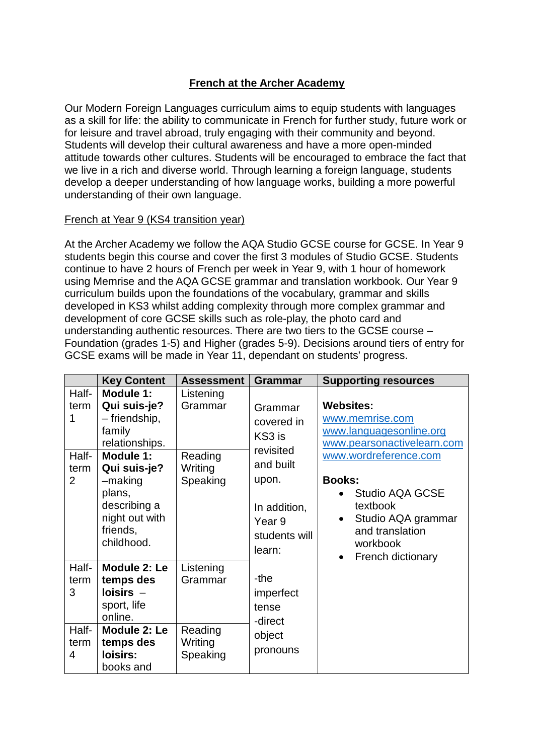## **French at the Archer Academy**

Our Modern Foreign Languages curriculum aims to equip students with languages as a skill for life: the ability to communicate in French for further study, future work or for leisure and travel abroad, truly engaging with their community and beyond. Students will develop their cultural awareness and have a more open-minded attitude towards other cultures. Students will be encouraged to embrace the fact that we live in a rich and diverse world. Through learning a foreign language, students develop a deeper understanding of how language works, building a more powerful understanding of their own language.

### French at Year 9 (KS4 transition year)

At the Archer Academy we follow the AQA Studio GCSE course for GCSE. In Year 9 students begin this course and cover the first 3 modules of Studio GCSE. Students continue to have 2 hours of French per week in Year 9, with 1 hour of homework using Memrise and the AQA GCSE grammar and translation workbook. Our Year 9 curriculum builds upon the foundations of the vocabulary, grammar and skills developed in KS3 whilst adding complexity through more complex grammar and development of core GCSE skills such as role-play, the photo card and understanding authentic resources. There are two tiers to the GCSE course – Foundation (grades 1-5) and Higher (grades 5-9). Decisions around tiers of entry for GCSE exams will be made in Year 11, dependant on students' progress.

|                                     | <b>Key Content</b>                                                                                                    | <b>Assessment</b>                                      | <b>Grammar</b>                                                     | <b>Supporting resources</b>                                                                                                            |
|-------------------------------------|-----------------------------------------------------------------------------------------------------------------------|--------------------------------------------------------|--------------------------------------------------------------------|----------------------------------------------------------------------------------------------------------------------------------------|
| Half-<br>term<br>Half-<br>term<br>2 | <b>Module 1:</b><br>Qui suis-je?<br>- friendship,<br>family<br>relationships.<br>Module 1:<br>Qui suis-je?<br>-making | Listening<br>Grammar<br>Reading<br>Writing<br>Speaking | Grammar<br>covered in<br>KS3 is<br>revisited<br>and built<br>upon. | <b>Websites:</b><br>www.memrise.com<br>www.languagesonline.org<br>www.pearsonactivelearn.com<br>www.wordreference.com<br><b>Books:</b> |
|                                     | plans,<br>describing a<br>night out with<br>friends,<br>childhood.                                                    |                                                        | In addition,<br>Year <sub>9</sub><br>students will<br>learn:       | <b>Studio AQA GCSE</b><br>textbook<br>Studio AQA grammar<br>$\bullet$<br>and translation<br>workbook<br>French dictionary<br>$\bullet$ |
| Half-<br>term<br>3                  | Module 2: Le<br>temps des<br>$loisirs -$<br>sport, life<br>online.                                                    | Listening<br>Grammar                                   | -the<br>imperfect<br>tense<br>-direct                              |                                                                                                                                        |
| Half-<br>term<br>4                  | Module 2: Le<br>temps des<br>loisirs:<br>books and                                                                    | Reading<br>Writing<br>Speaking                         | object<br>pronouns                                                 |                                                                                                                                        |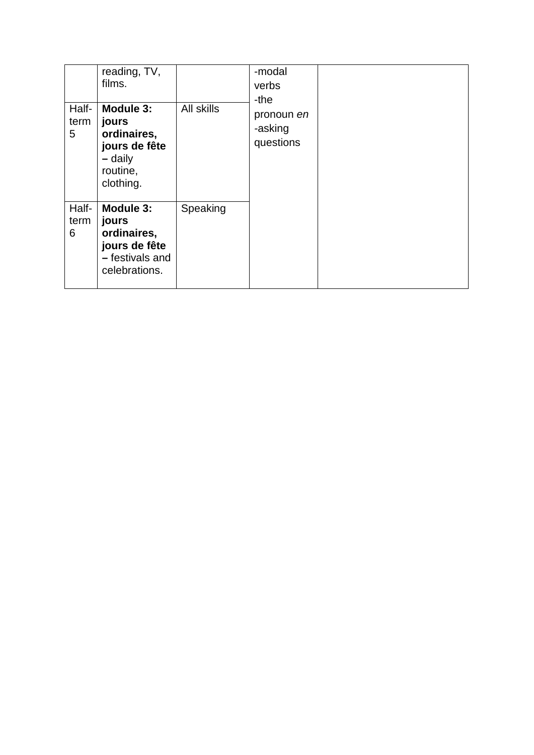| Half-<br>term<br>5 | reading, TV,<br>films.<br>Module 3:<br>jours<br>ordinaires,<br>jours de fête<br>- daily<br>routine,<br>clothing. | All skills | -modal<br>verbs<br>-the<br>pronoun en<br>-asking<br>questions |  |
|--------------------|------------------------------------------------------------------------------------------------------------------|------------|---------------------------------------------------------------|--|
| Half-<br>term<br>6 | Module 3:<br>jours<br>ordinaires,<br>jours de fête<br>- festivals and<br>celebrations.                           | Speaking   |                                                               |  |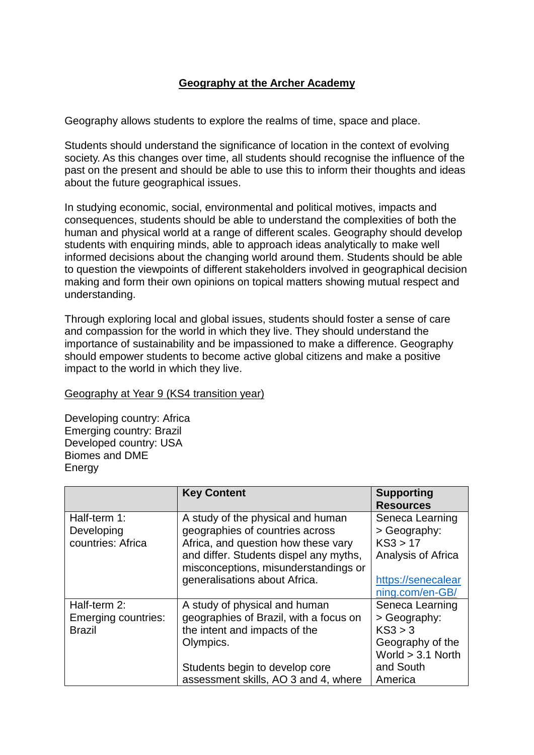## **Geography at the Archer Academy**

Geography allows students to explore the realms of time, space and place.

Students should understand the significance of location in the context of evolving society. As this changes over time, all students should recognise the influence of the past on the present and should be able to use this to inform their thoughts and ideas about the future geographical issues.

In studying economic, social, environmental and political motives, impacts and consequences, students should be able to understand the complexities of both the human and physical world at a range of different scales. Geography should develop students with enquiring minds, able to approach ideas analytically to make well informed decisions about the changing world around them. Students should be able to question the viewpoints of different stakeholders involved in geographical decision making and form their own opinions on topical matters showing mutual respect and understanding.

Through exploring local and global issues, students should foster a sense of care and compassion for the world in which they live. They should understand the importance of sustainability and be impassioned to make a difference. Geography should empower students to become active global citizens and make a positive impact to the world in which they live.

### Geography at Year 9 (KS4 transition year)

Developing country: Africa Emerging country: Brazil Developed country: USA Biomes and DME **Energy** 

|                                                      | <b>Key Content</b>                                                                                                                                                                                                             | <b>Supporting</b><br><b>Resources</b>                                                   |
|------------------------------------------------------|--------------------------------------------------------------------------------------------------------------------------------------------------------------------------------------------------------------------------------|-----------------------------------------------------------------------------------------|
| Half-term 1:<br>Developing<br>countries: Africa      | A study of the physical and human<br>geographies of countries across<br>Africa, and question how these vary<br>and differ. Students dispel any myths,<br>misconceptions, misunderstandings or<br>generalisations about Africa. | Seneca Learning<br>> Geography:<br>KS3 > 17<br>Analysis of Africa<br>https://senecalear |
|                                                      |                                                                                                                                                                                                                                | ning.com/en-GB/                                                                         |
| Half-term 2:<br>Emerging countries:<br><b>Brazil</b> | A study of physical and human<br>geographies of Brazil, with a focus on<br>the intent and impacts of the<br>Olympics.                                                                                                          | Seneca Learning<br>> Geography:<br>KS3 > 3<br>Geography of the<br>World $> 3.1$ North   |
|                                                      | Students begin to develop core<br>assessment skills, AO 3 and 4, where                                                                                                                                                         | and South<br>America                                                                    |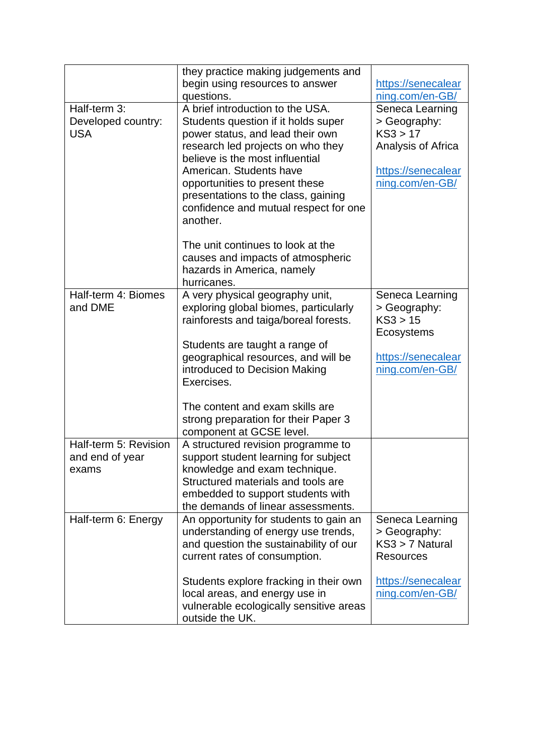|                       | they practice making judgements and     |                    |
|-----------------------|-----------------------------------------|--------------------|
|                       | begin using resources to answer         | https://senecalear |
|                       | questions.                              | ning.com/en-GB/    |
| Half-term 3:          | A brief introduction to the USA.        | Seneca Learning    |
| Developed country:    | Students question if it holds super     | > Geography:       |
| <b>USA</b>            | power status, and lead their own        | KS3 > 17           |
|                       | research led projects on who they       | Analysis of Africa |
|                       | believe is the most influential         |                    |
|                       | American, Students have                 | https://senecalear |
|                       | opportunities to present these          | ning.com/en-GB/    |
|                       | presentations to the class, gaining     |                    |
|                       | confidence and mutual respect for one   |                    |
|                       | another.                                |                    |
|                       |                                         |                    |
|                       | The unit continues to look at the       |                    |
|                       | causes and impacts of atmospheric       |                    |
|                       | hazards in America, namely              |                    |
|                       | hurricanes.                             |                    |
| Half-term 4: Biomes   | A very physical geography unit,         | Seneca Learning    |
| and DME               | exploring global biomes, particularly   | > Geography:       |
|                       | rainforests and taiga/boreal forests.   | KS3 > 15           |
|                       |                                         | Ecosystems         |
|                       | Students are taught a range of          |                    |
|                       | geographical resources, and will be     | https://senecalear |
|                       | introduced to Decision Making           | ning.com/en-GB/    |
|                       | Exercises.                              |                    |
|                       |                                         |                    |
|                       | The content and exam skills are         |                    |
|                       | strong preparation for their Paper 3    |                    |
|                       | component at GCSE level.                |                    |
| Half-term 5: Revision | A structured revision programme to      |                    |
| and end of year       | support student learning for subject    |                    |
| exams                 | knowledge and exam technique.           |                    |
|                       | Structured materials and tools are      |                    |
|                       | embedded to support students with       |                    |
|                       | the demands of linear assessments.      |                    |
| Half-term 6: Energy   | An opportunity for students to gain an  | Seneca Learning    |
|                       | understanding of energy use trends,     | > Geography:       |
|                       | and question the sustainability of our  | KS3 > 7 Natural    |
|                       | current rates of consumption.           | <b>Resources</b>   |
|                       |                                         |                    |
|                       | Students explore fracking in their own  | https://senecalear |
|                       | local areas, and energy use in          | ning.com/en-GB/    |
|                       | vulnerable ecologically sensitive areas |                    |
|                       | outside the UK.                         |                    |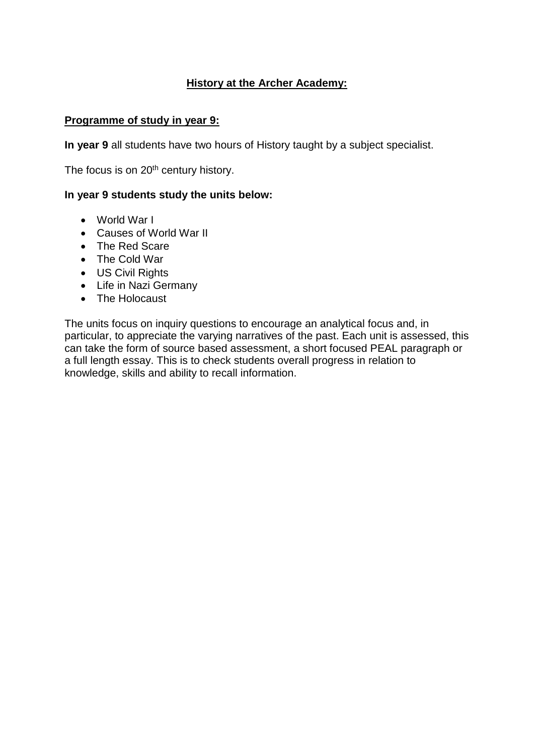# **History at the Archer Academy:**

### **Programme of study in year 9:**

**In year 9** all students have two hours of History taught by a subject specialist.

The focus is on 20<sup>th</sup> century history.

### **In year 9 students study the units below:**

- World War I
- Causes of World War II
- The Red Scare
- The Cold War
- US Civil Rights
- Life in Nazi Germany
- The Holocaust

The units focus on inquiry questions to encourage an analytical focus and, in particular, to appreciate the varying narratives of the past. Each unit is assessed, this can take the form of source based assessment, a short focused PEAL paragraph or a full length essay. This is to check students overall progress in relation to knowledge, skills and ability to recall information.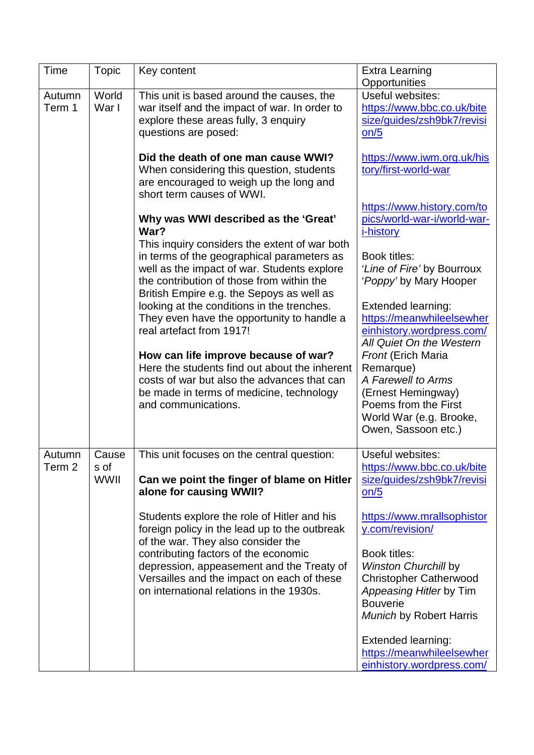| Time              | <b>Topic</b> | Key content                                                                           | <b>Extra Learning</b>                                 |
|-------------------|--------------|---------------------------------------------------------------------------------------|-------------------------------------------------------|
|                   |              |                                                                                       | Opportunities                                         |
| Autumn            | World        | This unit is based around the causes, the                                             | Useful websites:                                      |
| Term 1            | War I        | war itself and the impact of war. In order to                                         | https://www.bbc.co.uk/bite                            |
|                   |              | explore these areas fully, 3 enquiry                                                  | size/quides/zsh9bk7/revisi                            |
|                   |              | questions are posed:                                                                  | on/5                                                  |
|                   |              |                                                                                       |                                                       |
|                   |              | Did the death of one man cause WWI?                                                   | https://www.iwm.org.uk/his                            |
|                   |              | When considering this question, students                                              | tory/first-world-war                                  |
|                   |              | are encouraged to weigh up the long and                                               |                                                       |
|                   |              | short term causes of WWI.                                                             |                                                       |
|                   |              |                                                                                       | https://www.history.com/to                            |
|                   |              | Why was WWI described as the 'Great'                                                  | pics/world-war-i/world-war-                           |
|                   |              | War?                                                                                  | <i>i-history</i>                                      |
|                   |              | This inquiry considers the extent of war both                                         |                                                       |
|                   |              | in terms of the geographical parameters as                                            | Book titles:                                          |
|                   |              | well as the impact of war. Students explore                                           | 'Line of Fire' by Bourroux                            |
|                   |              | the contribution of those from within the                                             | 'Poppy' by Mary Hooper                                |
|                   |              | British Empire e.g. the Sepoys as well as                                             |                                                       |
|                   |              | looking at the conditions in the trenches.                                            | <b>Extended learning:</b>                             |
|                   |              | They even have the opportunity to handle a                                            | https://meanwhileelsewher                             |
|                   |              | real artefact from 1917!                                                              | einhistory.wordpress.com/<br>All Quiet On the Western |
|                   |              |                                                                                       |                                                       |
|                   |              | How can life improve because of war?<br>Here the students find out about the inherent | <b>Front (Erich Maria</b><br>Remarque)                |
|                   |              | costs of war but also the advances that can                                           | A Farewell to Arms                                    |
|                   |              |                                                                                       |                                                       |
|                   |              | be made in terms of medicine, technology<br>and communications.                       | (Ernest Hemingway)<br>Poems from the First            |
|                   |              |                                                                                       | World War (e.g. Brooke,                               |
|                   |              |                                                                                       | Owen, Sassoon etc.)                                   |
|                   |              |                                                                                       |                                                       |
| Autumn            | Cause        | This unit focuses on the central question:                                            | Useful websites:                                      |
| Term <sub>2</sub> | s of         |                                                                                       | https://www.bbc.co.uk/bite                            |
|                   | WWII         | Can we point the finger of blame on Hitler                                            | size/guides/zsh9bk7/revisi                            |
|                   |              | alone for causing WWII?                                                               | $on/5$                                                |
|                   |              |                                                                                       |                                                       |
|                   |              | Students explore the role of Hitler and his                                           | https://www.mrallsophistor                            |
|                   |              | foreign policy in the lead up to the outbreak<br>of the war. They also consider the   | y.com/revision/                                       |
|                   |              | contributing factors of the economic                                                  | Book titles:                                          |
|                   |              | depression, appeasement and the Treaty of                                             | <b>Winston Churchill by</b>                           |
|                   |              | Versailles and the impact on each of these                                            | <b>Christopher Catherwood</b>                         |
|                   |              | on international relations in the 1930s.                                              | Appeasing Hitler by Tim                               |
|                   |              |                                                                                       | <b>Bouverie</b>                                       |
|                   |              |                                                                                       | <b>Munich by Robert Harris</b>                        |
|                   |              |                                                                                       |                                                       |
|                   |              |                                                                                       | <b>Extended learning:</b>                             |
|                   |              |                                                                                       | https://meanwhileelsewher                             |
|                   |              |                                                                                       | einhistory.wordpress.com/                             |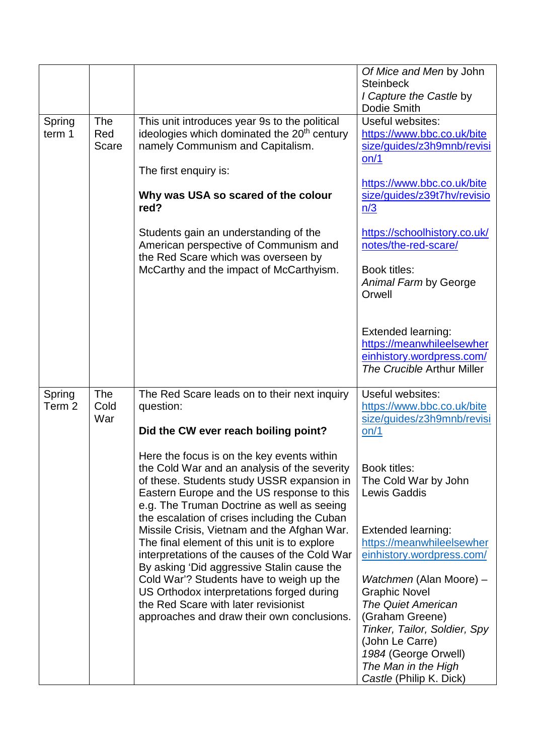|        |              |                                                                                             | Of Mice and Men by John                                 |
|--------|--------------|---------------------------------------------------------------------------------------------|---------------------------------------------------------|
|        |              |                                                                                             | <b>Steinbeck</b>                                        |
|        |              |                                                                                             | I Capture the Castle by                                 |
|        |              |                                                                                             | Dodie Smith                                             |
| Spring | The          | This unit introduces year 9s to the political                                               | Useful websites:                                        |
| term 1 | Red          | ideologies which dominated the 20 <sup>th</sup> century                                     | https://www.bbc.co.uk/bite                              |
|        | <b>Scare</b> | namely Communism and Capitalism.                                                            | size/guides/z3h9mnb/revisi<br>on/1                      |
|        |              | The first enquiry is:                                                                       |                                                         |
|        |              |                                                                                             | https://www.bbc.co.uk/bite                              |
|        |              | Why was USA so scared of the colour                                                         | size/quides/z39t7hv/revisio                             |
|        |              | red?                                                                                        | n/3                                                     |
|        |              |                                                                                             |                                                         |
|        |              | Students gain an understanding of the                                                       | https://schoolhistory.co.uk/                            |
|        |              | American perspective of Communism and                                                       | notes/the-red-scare/                                    |
|        |              | the Red Scare which was overseen by                                                         |                                                         |
|        |              | McCarthy and the impact of McCarthyism.                                                     | Book titles:                                            |
|        |              |                                                                                             | Animal Farm by George                                   |
|        |              |                                                                                             | Orwell                                                  |
|        |              |                                                                                             |                                                         |
|        |              |                                                                                             |                                                         |
|        |              |                                                                                             | <b>Extended learning:</b>                               |
|        |              |                                                                                             | https://meanwhileelsewher                               |
|        |              |                                                                                             | einhistory.wordpress.com/<br>The Crucible Arthur Miller |
|        |              |                                                                                             |                                                         |
| Spring | The          | The Red Scare leads on to their next inquiry                                                | Useful websites:                                        |
| Term 2 | Cold         | question:                                                                                   | https://www.bbc.co.uk/bite                              |
|        | War          |                                                                                             | size/guides/z3h9mnb/revisi                              |
|        |              | Did the CW ever reach boiling point?                                                        | on/1                                                    |
|        |              |                                                                                             |                                                         |
|        |              | Here the focus is on the key events within                                                  |                                                         |
|        |              | the Cold War and an analysis of the severity                                                | Book titles:                                            |
|        |              | of these. Students study USSR expansion in                                                  | The Cold War by John                                    |
|        |              | Eastern Europe and the US response to this                                                  | <b>Lewis Gaddis</b>                                     |
|        |              | e.g. The Truman Doctrine as well as seeing                                                  |                                                         |
|        |              | the escalation of crises including the Cuban                                                |                                                         |
|        |              | Missile Crisis, Vietnam and the Afghan War.                                                 | <b>Extended learning:</b>                               |
|        |              | The final element of this unit is to explore                                                | https://meanwhileelsewher                               |
|        |              | interpretations of the causes of the Cold War<br>By asking 'Did aggressive Stalin cause the | einhistory.wordpress.com/                               |
|        |              | Cold War'? Students have to weigh up the                                                    | Watchmen (Alan Moore) -                                 |
|        |              | US Orthodox interpretations forged during                                                   | <b>Graphic Novel</b>                                    |
|        |              | the Red Scare with later revisionist                                                        | <b>The Quiet American</b>                               |
|        |              | approaches and draw their own conclusions.                                                  | (Graham Greene)                                         |
|        |              |                                                                                             | Tinker, Tailor, Soldier, Spy                            |
|        |              |                                                                                             | (John Le Carre)                                         |
|        |              |                                                                                             | 1984 (George Orwell)                                    |
|        |              |                                                                                             | The Man in the High                                     |
|        |              |                                                                                             | Castle (Philip K. Dick)                                 |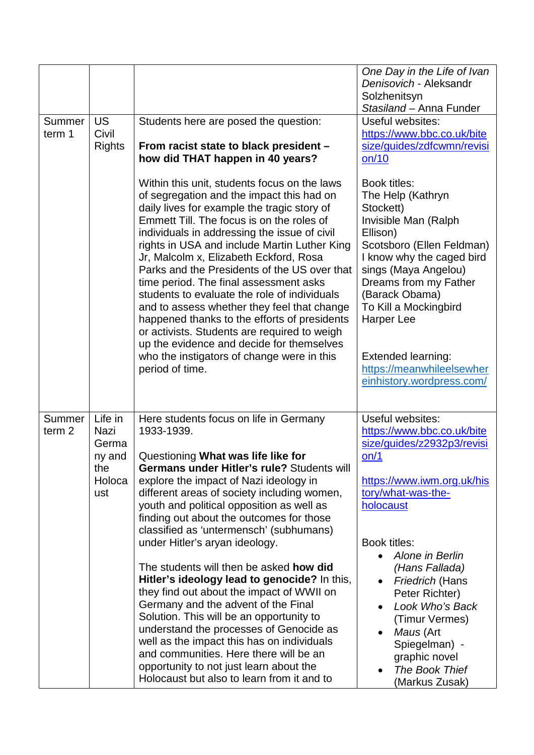| Summer<br>term 1            | <b>US</b><br>Civil<br><b>Rights</b>                        | Students here are posed the question:<br>From racist state to black president -<br>how did THAT happen in 40 years?                                                                                                                                                                                                                                                                                                                                                                                                                                                                                                                                                                                                                                                                                                                                                          | One Day in the Life of Ivan<br>Denisovich - Aleksandr<br>Solzhenitsyn<br>Stasiland - Anna Funder<br>Useful websites:<br>https://www.bbc.co.uk/bite<br>size/guides/zdfcwmn/revisi<br>on/10                                                                                                                                                                               |
|-----------------------------|------------------------------------------------------------|------------------------------------------------------------------------------------------------------------------------------------------------------------------------------------------------------------------------------------------------------------------------------------------------------------------------------------------------------------------------------------------------------------------------------------------------------------------------------------------------------------------------------------------------------------------------------------------------------------------------------------------------------------------------------------------------------------------------------------------------------------------------------------------------------------------------------------------------------------------------------|-------------------------------------------------------------------------------------------------------------------------------------------------------------------------------------------------------------------------------------------------------------------------------------------------------------------------------------------------------------------------|
|                             |                                                            | Within this unit, students focus on the laws<br>of segregation and the impact this had on<br>daily lives for example the tragic story of<br>Emmett Till. The focus is on the roles of<br>individuals in addressing the issue of civil<br>rights in USA and include Martin Luther King<br>Jr, Malcolm x, Elizabeth Eckford, Rosa<br>Parks and the Presidents of the US over that<br>time period. The final assessment asks<br>students to evaluate the role of individuals<br>and to assess whether they feel that change<br>happened thanks to the efforts of presidents<br>or activists. Students are required to weigh<br>up the evidence and decide for themselves<br>who the instigators of change were in this<br>period of time.                                                                                                                                       | Book titles:<br>The Help (Kathryn<br>Stockett)<br>Invisible Man (Ralph<br>Ellison)<br>Scotsboro (Ellen Feldman)<br>I know why the caged bird<br>sings (Maya Angelou)<br>Dreams from my Father<br>(Barack Obama)<br>To Kill a Mockingbird<br>Harper Lee<br><b>Extended learning:</b><br>https://meanwhileelsewher<br>einhistory.wordpress.com/                           |
| Summer<br>term <sub>2</sub> | Life in<br>Nazi<br>Germa<br>ny and<br>the<br>Holoca<br>ust | Here students focus on life in Germany<br>1933-1939.<br>Questioning What was life like for<br><b>Germans under Hitler's rule?</b> Students will<br>explore the impact of Nazi ideology in<br>different areas of society including women,<br>youth and political opposition as well as<br>finding out about the outcomes for those<br>classified as 'untermensch' (subhumans)<br>under Hitler's aryan ideology.<br>The students will then be asked <b>how did</b><br>Hitler's ideology lead to genocide? In this,<br>they find out about the impact of WWII on<br>Germany and the advent of the Final<br>Solution. This will be an opportunity to<br>understand the processes of Genocide as<br>well as the impact this has on individuals<br>and communities. Here there will be an<br>opportunity to not just learn about the<br>Holocaust but also to learn from it and to | Useful websites:<br>https://www.bbc.co.uk/bite<br>size/guides/z2932p3/revisi<br>on/1<br>https://www.iwm.org.uk/his<br>tory/what-was-the-<br>holocaust<br>Book titles:<br>Alone in Berlin<br>(Hans Fallada)<br>Friedrich (Hans<br>Peter Richter)<br>Look Who's Back<br>(Timur Vermes)<br>Maus (Art<br>Spiegelman) -<br>graphic novel<br>The Book Thief<br>(Markus Zusak) |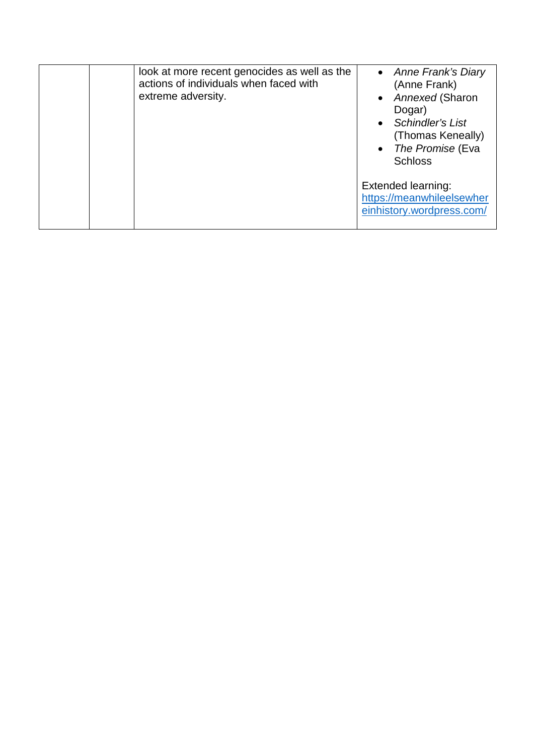| look at more recent genocides as well as the<br>actions of individuals when faced with<br>extreme adversity. | • Anne Frank's Diary<br>(Anne Frank)<br>Annexed (Sharon<br>Dogar)<br><b>Schindler's List</b><br>(Thomas Keneally)<br>The Promise (Eva<br><b>Schloss</b> |
|--------------------------------------------------------------------------------------------------------------|---------------------------------------------------------------------------------------------------------------------------------------------------------|
|                                                                                                              | Extended learning:<br>https://meanwhileelsewher<br>einhistory.wordpress.com/                                                                            |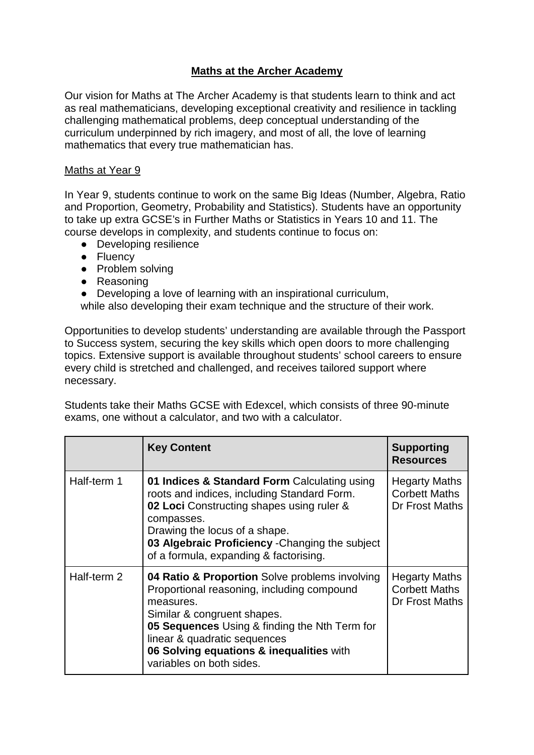# **Maths at the Archer Academy**

Our vision for Maths at The Archer Academy is that students learn to think and act as real mathematicians, developing exceptional creativity and resilience in tackling challenging mathematical problems, deep conceptual understanding of the curriculum underpinned by rich imagery, and most of all, the love of learning mathematics that every true mathematician has.

#### Maths at Year 9

In Year 9, students continue to work on the same Big Ideas (Number, Algebra, Ratio and Proportion, Geometry, Probability and Statistics). Students have an opportunity to take up extra GCSE's in Further Maths or Statistics in Years 10 and 11. The course develops in complexity, and students continue to focus on:

- Developing resilience
- Fluency
- Problem solving
- Reasoning
- Developing a love of learning with an inspirational curriculum,

while also developing their exam technique and the structure of their work.

Opportunities to develop students' understanding are available through the Passport to Success system, securing the key skills which open doors to more challenging topics. Extensive support is available throughout students' school careers to ensure every child is stretched and challenged, and receives tailored support where necessary.

Students take their Maths GCSE with Edexcel, which consists of three 90-minute exams, one without a calculator, and two with a calculator.

|             | <b>Key Content</b>                                                                                                                                                                                                                                                                                | <b>Supporting</b><br><b>Resources</b>                          |
|-------------|---------------------------------------------------------------------------------------------------------------------------------------------------------------------------------------------------------------------------------------------------------------------------------------------------|----------------------------------------------------------------|
| Half-term 1 | 01 Indices & Standard Form Calculating using<br>roots and indices, including Standard Form.<br>02 Loci Constructing shapes using ruler &<br>compasses.<br>Drawing the locus of a shape.<br>03 Algebraic Proficiency - Changing the subject<br>of a formula, expanding & factorising.              | <b>Hegarty Maths</b><br><b>Corbett Maths</b><br>Dr Frost Maths |
| Half-term 2 | 04 Ratio & Proportion Solve problems involving<br>Proportional reasoning, including compound<br>measures.<br>Similar & congruent shapes.<br>05 Sequences Using & finding the Nth Term for<br>linear & quadratic sequences<br>06 Solving equations & inequalities with<br>variables on both sides. | <b>Hegarty Maths</b><br><b>Corbett Maths</b><br>Dr Frost Maths |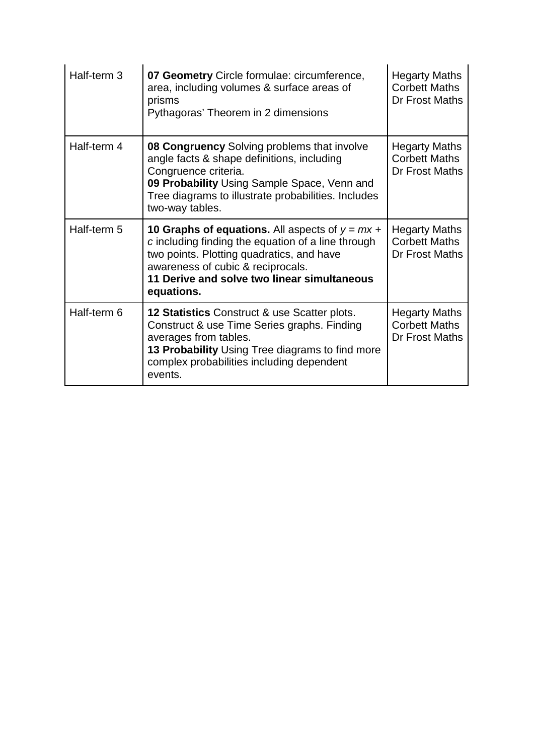| Half-term 3 | 07 Geometry Circle formulae: circumference,<br>area, including volumes & surface areas of<br>prisms<br>Pythagoras' Theorem in 2 dimensions                                                                                                                    | <b>Hegarty Maths</b><br><b>Corbett Maths</b><br>Dr Frost Maths |
|-------------|---------------------------------------------------------------------------------------------------------------------------------------------------------------------------------------------------------------------------------------------------------------|----------------------------------------------------------------|
| Half-term 4 | 08 Congruency Solving problems that involve<br>angle facts & shape definitions, including<br>Congruence criteria.<br>09 Probability Using Sample Space, Venn and<br>Tree diagrams to illustrate probabilities. Includes<br>two-way tables.                    | <b>Hegarty Maths</b><br><b>Corbett Maths</b><br>Dr Frost Maths |
| Half-term 5 | <b>10 Graphs of equations.</b> All aspects of $y = mx +$<br>c including finding the equation of a line through<br>two points. Plotting quadratics, and have<br>awareness of cubic & reciprocals.<br>11 Derive and solve two linear simultaneous<br>equations. | <b>Hegarty Maths</b><br><b>Corbett Maths</b><br>Dr Frost Maths |
| Half-term 6 | 12 Statistics Construct & use Scatter plots.<br>Construct & use Time Series graphs. Finding<br>averages from tables.<br>13 Probability Using Tree diagrams to find more<br>complex probabilities including dependent<br>events.                               | <b>Hegarty Maths</b><br><b>Corbett Maths</b><br>Dr Frost Maths |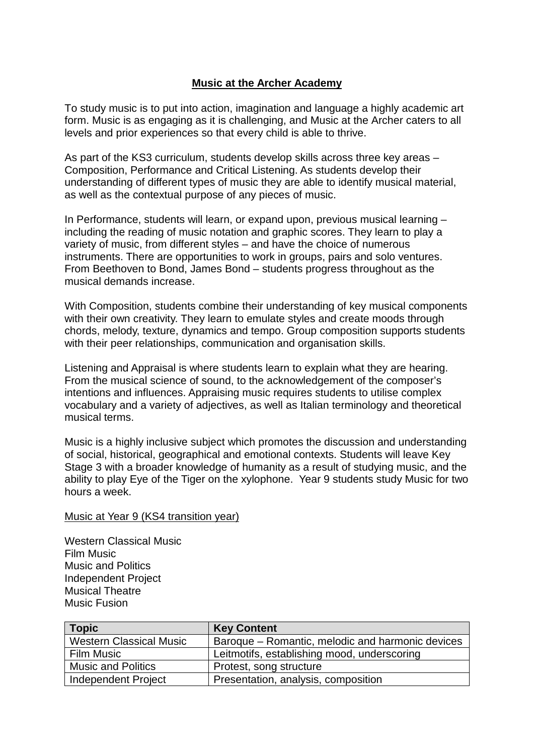### **Music at the Archer Academy**

To study music is to put into action, imagination and language a highly academic art form. Music is as engaging as it is challenging, and Music at the Archer caters to all levels and prior experiences so that every child is able to thrive.

As part of the KS3 curriculum, students develop skills across three key areas – Composition, Performance and Critical Listening. As students develop their understanding of different types of music they are able to identify musical material, as well as the contextual purpose of any pieces of music.

In Performance, students will learn, or expand upon, previous musical learning – including the reading of music notation and graphic scores. They learn to play a variety of music, from different styles – and have the choice of numerous instruments. There are opportunities to work in groups, pairs and solo ventures. From Beethoven to Bond, James Bond – students progress throughout as the musical demands increase.

With Composition, students combine their understanding of key musical components with their own creativity. They learn to emulate styles and create moods through chords, melody, texture, dynamics and tempo. Group composition supports students with their peer relationships, communication and organisation skills.

Listening and Appraisal is where students learn to explain what they are hearing. From the musical science of sound, to the acknowledgement of the composer's intentions and influences. Appraising music requires students to utilise complex vocabulary and a variety of adjectives, as well as Italian terminology and theoretical musical terms.

Music is a highly inclusive subject which promotes the discussion and understanding of social, historical, geographical and emotional contexts. Students will leave Key Stage 3 with a broader knowledge of humanity as a result of studying music, and the ability to play Eye of the Tiger on the xylophone. Year 9 students study Music for two hours a week.

#### Music at Year 9 (KS4 transition year)

Western Classical Music Film Music Music and Politics Independent Project Musical Theatre Music Fusion

| <b>Topic</b>                   | <b>Key Content</b>                               |  |  |
|--------------------------------|--------------------------------------------------|--|--|
| <b>Western Classical Music</b> | Baroque – Romantic, melodic and harmonic devices |  |  |
| <b>Film Music</b>              | Leitmotifs, establishing mood, underscoring      |  |  |
| <b>Music and Politics</b>      | Protest, song structure                          |  |  |
| <b>Independent Project</b>     | Presentation, analysis, composition              |  |  |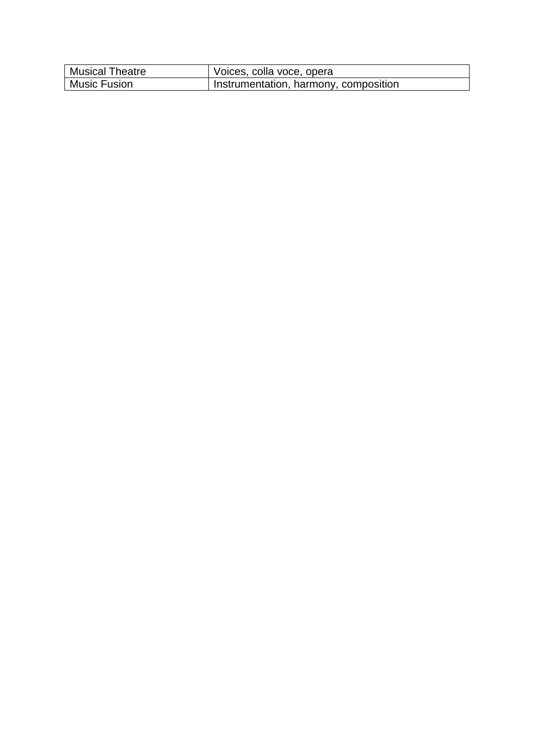| <b>Musical Theatre</b> | Voices, colla voce, opera             |
|------------------------|---------------------------------------|
| <b>Music Fusion</b>    | Instrumentation, harmony, composition |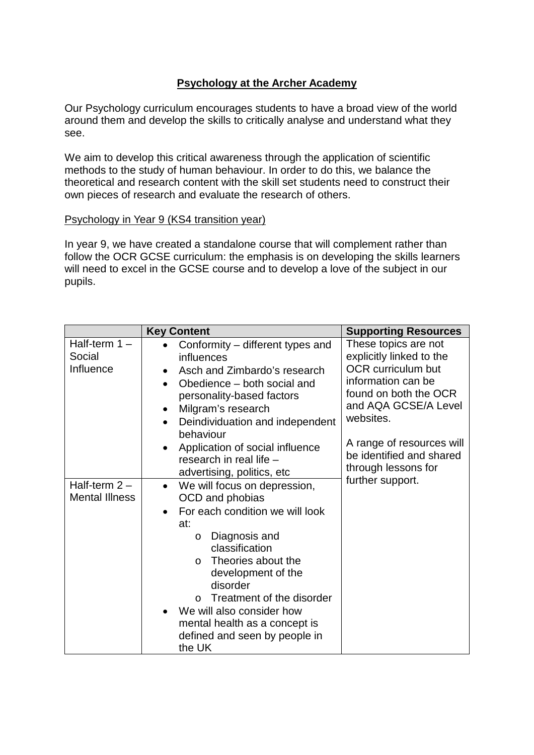## **Psychology at the Archer Academy**

Our Psychology curriculum encourages students to have a broad view of the world around them and develop the skills to critically analyse and understand what they see.

We aim to develop this critical awareness through the application of scientific methods to the study of human behaviour. In order to do this, we balance the theoretical and research content with the skill set students need to construct their own pieces of research and evaluate the research of others.

### Psychology in Year 9 (KS4 transition year)

In year 9, we have created a standalone course that will complement rather than follow the OCR GCSE curriculum: the emphasis is on developing the skills learners will need to excel in the GCSE course and to develop a love of the subject in our pupils.

|                                          | <b>Key Content</b>                                                                                                                                                                                                                                                                                                                                                                      | <b>Supporting Resources</b>                                                                                                                                                                                                                       |
|------------------------------------------|-----------------------------------------------------------------------------------------------------------------------------------------------------------------------------------------------------------------------------------------------------------------------------------------------------------------------------------------------------------------------------------------|---------------------------------------------------------------------------------------------------------------------------------------------------------------------------------------------------------------------------------------------------|
| Half-term $1 -$<br>Social<br>Influence   | Conformity – different types and<br>influences<br>Asch and Zimbardo's research<br>$\bullet$<br>Obedience – both social and<br>$\bullet$<br>personality-based factors<br>Milgram's research<br>$\bullet$<br>Deindividuation and independent<br>$\bullet$<br>behaviour<br>Application of social influence<br>research in real life -<br>advertising, politics, etc                        | These topics are not<br>explicitly linked to the<br><b>OCR</b> curriculum but<br>information can be<br>found on both the OCR<br>and AQA GCSE/A Level<br>websites.<br>A range of resources will<br>be identified and shared<br>through lessons for |
| Half-term $2 -$<br><b>Mental Illness</b> | We will focus on depression,<br>$\bullet$<br>OCD and phobias<br>For each condition we will look<br>$\bullet$<br>at:<br>Diagnosis and<br>$\circ$<br>classification<br>Theories about the<br>$\Omega$<br>development of the<br>disorder<br>Treatment of the disorder<br>$\Omega$<br>We will also consider how<br>mental health as a concept is<br>defined and seen by people in<br>the UK | further support.                                                                                                                                                                                                                                  |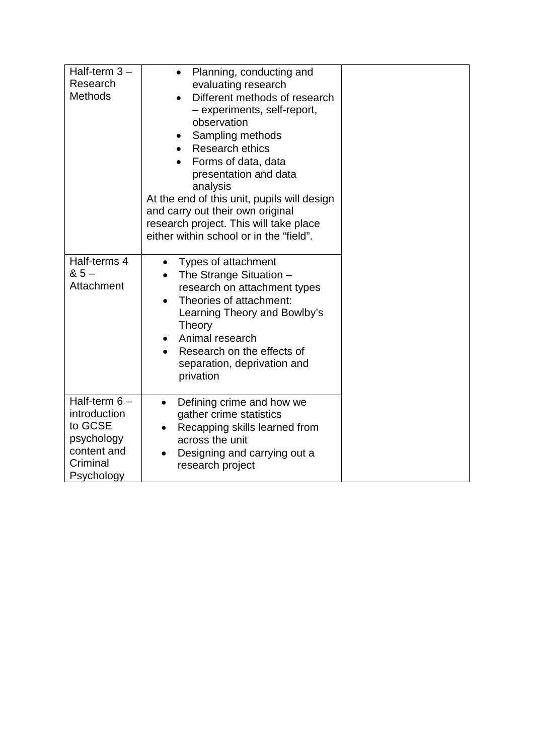| Half-term $3-$<br>Research<br><b>Methods</b>                                                     | Planning, conducting and<br>$\bullet$<br>evaluating research<br>Different methods of research<br>$\bullet$<br>- experiments, self-report,<br>observation<br>Sampling methods<br>$\bullet$<br><b>Research ethics</b><br>Forms of data, data<br>presentation and data<br>analysis<br>At the end of this unit, pupils will design<br>and carry out their own original<br>research project. This will take place<br>either within school or in the "field". |  |
|--------------------------------------------------------------------------------------------------|---------------------------------------------------------------------------------------------------------------------------------------------------------------------------------------------------------------------------------------------------------------------------------------------------------------------------------------------------------------------------------------------------------------------------------------------------------|--|
| Half-terms 4<br>$85 -$<br>Attachment                                                             | Types of attachment<br>$\bullet$<br>The Strange Situation -<br>research on attachment types<br>Theories of attachment:<br>$\bullet$<br>Learning Theory and Bowlby's<br><b>Theory</b><br>Animal research<br>Research on the effects of<br>separation, deprivation and<br>privation                                                                                                                                                                       |  |
| Half-term $6-$<br>introduction<br>to GCSE<br>psychology<br>content and<br>Criminal<br>Psychology | Defining crime and how we<br>$\bullet$<br>gather crime statistics<br>Recapping skills learned from<br>across the unit<br>Designing and carrying out a<br>research project                                                                                                                                                                                                                                                                               |  |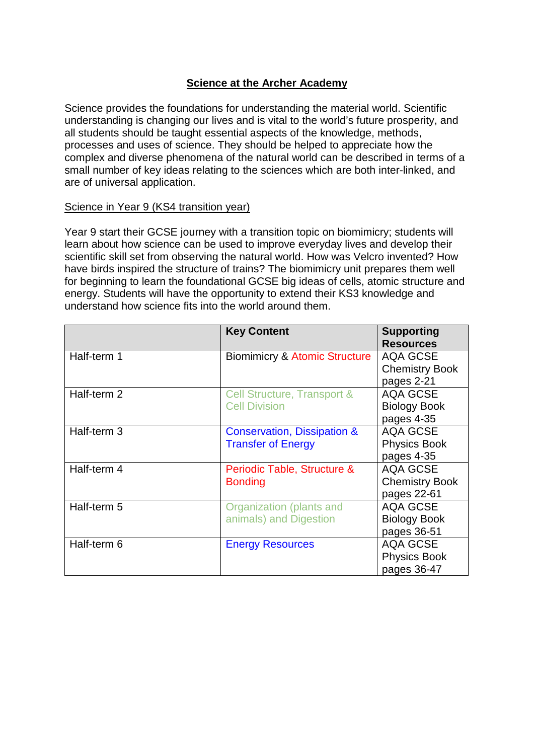### **Science at the Archer Academy**

Science provides the foundations for understanding the material world. Scientific understanding is changing our lives and is vital to the world's future prosperity, and all students should be taught essential aspects of the knowledge, methods, processes and uses of science. They should be helped to appreciate how the complex and diverse phenomena of the natural world can be described in terms of a small number of key ideas relating to the sciences which are both inter-linked, and are of universal application.

### Science in Year 9 (KS4 transition year)

Year 9 start their GCSE journey with a transition topic on biomimicry; students will learn about how science can be used to improve everyday lives and develop their scientific skill set from observing the natural world. How was Velcro invented? How have birds inspired the structure of trains? The biomimicry unit prepares them well for beginning to learn the foundational GCSE big ideas of cells, atomic structure and energy. Students will have the opportunity to extend their KS3 knowledge and understand how science fits into the world around them.

|             | <b>Key Content</b>                       | <b>Supporting</b><br><b>Resources</b> |
|-------------|------------------------------------------|---------------------------------------|
| Half-term 1 | <b>Biomimicry &amp; Atomic Structure</b> | <b>AQA GCSE</b>                       |
|             |                                          | <b>Chemistry Book</b>                 |
|             |                                          | pages 2-21                            |
| Half-term 2 | Cell Structure, Transport &              | <b>AQA GCSE</b>                       |
|             | <b>Cell Division</b>                     | <b>Biology Book</b>                   |
|             |                                          | pages 4-35                            |
| Half-term 3 | <b>Conservation, Dissipation &amp;</b>   | <b>AQA GCSE</b>                       |
|             | <b>Transfer of Energy</b>                | <b>Physics Book</b>                   |
|             |                                          | pages 4-35                            |
| Half-term 4 | Periodic Table, Structure &              | <b>AQA GCSE</b>                       |
|             | <b>Bonding</b>                           | <b>Chemistry Book</b>                 |
|             |                                          | pages 22-61                           |
| Half-term 5 | Organization (plants and                 | <b>AQA GCSE</b>                       |
|             | animals) and Digestion                   | <b>Biology Book</b>                   |
|             |                                          | pages 36-51                           |
| Half-term 6 | <b>Energy Resources</b>                  | <b>AQA GCSE</b>                       |
|             |                                          | <b>Physics Book</b>                   |
|             |                                          | pages 36-47                           |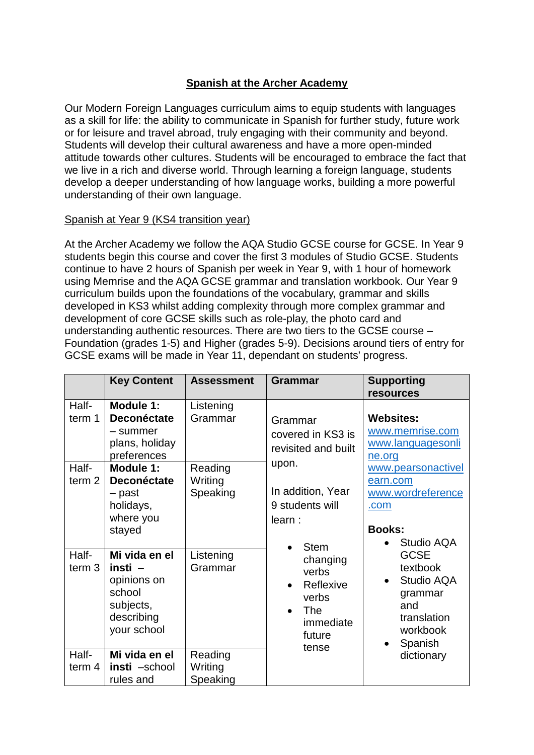## **Spanish at the Archer Academy**

Our Modern Foreign Languages curriculum aims to equip students with languages as a skill for life: the ability to communicate in Spanish for further study, future work or for leisure and travel abroad, truly engaging with their community and beyond. Students will develop their cultural awareness and have a more open-minded attitude towards other cultures. Students will be encouraged to embrace the fact that we live in a rich and diverse world. Through learning a foreign language, students develop a deeper understanding of how language works, building a more powerful understanding of their own language.

### Spanish at Year 9 (KS4 transition year)

At the Archer Academy we follow the AQA Studio GCSE course for GCSE. In Year 9 students begin this course and cover the first 3 modules of Studio GCSE. Students continue to have 2 hours of Spanish per week in Year 9, with 1 hour of homework using Memrise and the AQA GCSE grammar and translation workbook. Our Year 9 curriculum builds upon the foundations of the vocabulary, grammar and skills developed in KS3 whilst adding complexity through more complex grammar and development of core GCSE skills such as role-play, the photo card and understanding authentic resources. There are two tiers to the GCSE course – Foundation (grades 1-5) and Higher (grades 5-9). Decisions around tiers of entry for GCSE exams will be made in Year 11, dependant on students' progress.

|                                    | <b>Key Content</b>                                                                                              | <b>Assessment</b>                          | <b>Grammar</b>                                                                                                                 | <b>Supporting</b><br><b>resources</b>                                                                                   |
|------------------------------------|-----------------------------------------------------------------------------------------------------------------|--------------------------------------------|--------------------------------------------------------------------------------------------------------------------------------|-------------------------------------------------------------------------------------------------------------------------|
| Half-<br>term 1<br>Half-<br>term 2 | Module 1:<br><b>Deconéctate</b><br>– summer<br>plans, holiday<br>preferences<br>Module 1:<br><b>Deconéctate</b> | Listening<br>Grammar<br>Reading<br>Writing | Grammar<br>covered in KS3 is<br>revisited and built<br>upon.                                                                   | <b>Websites:</b><br>www.memrise.com<br>www.languagesonli<br>ne.org<br>www.pearsonactivel<br>earn.com                    |
|                                    | - past<br>holidays,<br>where you<br>stayed                                                                      | Speaking                                   | In addition, Year<br>9 students will<br>learn:                                                                                 | www.wordreference<br>.com<br><b>Books:</b><br>Studio AQA                                                                |
| Half-<br>term 3                    | Mi vida en el<br>insti $-$<br>opinions on<br>school<br>subjects,<br>describing<br>your school                   | Listening<br>Grammar                       | <b>Stem</b><br>changing<br>verbs<br>Reflexive<br>$\bullet$<br>verbs<br><b>The</b><br>$\bullet$<br>immediate<br>future<br>tense | <b>GCSE</b><br>textbook<br>Studio AQA<br>$\bullet$<br>grammar<br>and<br>translation<br>workbook<br>Spanish<br>$\bullet$ |
| Half-<br>term $4$                  | Mi vida en el<br>insti -school<br>rules and                                                                     | Reading<br>Writing<br>Speaking             |                                                                                                                                | dictionary                                                                                                              |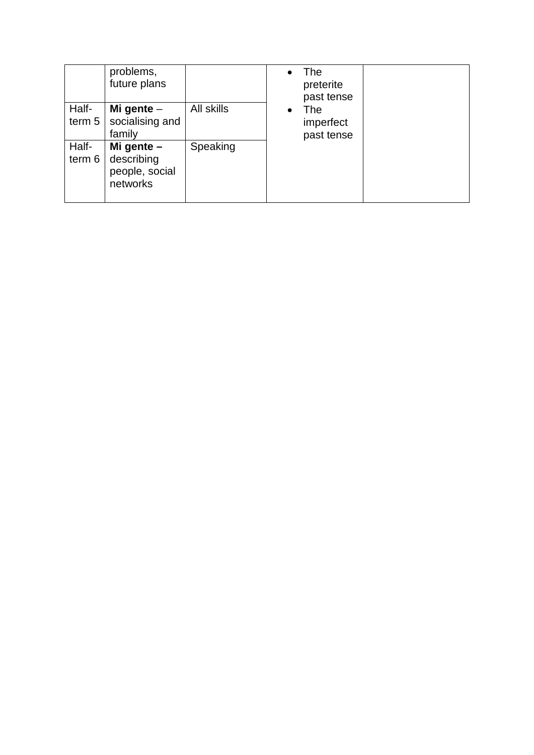|                 | problems,<br>future plans                                |            |           | The<br>preterite<br>past tense |  |
|-----------------|----------------------------------------------------------|------------|-----------|--------------------------------|--|
| Half-<br>term 5 | Mi gente $-$<br>socialising and<br>family                | All skills | $\bullet$ | The<br>imperfect<br>past tense |  |
| Half-<br>term 6 | Mi gente $-$<br>describing<br>people, social<br>networks | Speaking   |           |                                |  |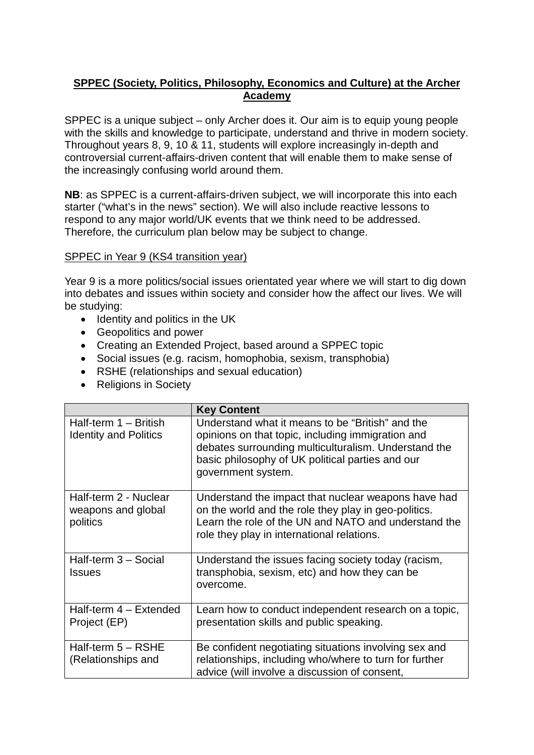## **SPPEC (Society, Politics, Philosophy, Economics and Culture) at the Archer Academy**

SPPEC is a unique subject – only Archer does it. Our aim is to equip young people with the skills and knowledge to participate, understand and thrive in modern society. Throughout years 8, 9, 10 & 11, students will explore increasingly in-depth and controversial current-affairs-driven content that will enable them to make sense of the increasingly confusing world around them.

**NB**: as SPPEC is a current-affairs-driven subject, we will incorporate this into each starter ("what's in the news" section). We will also include reactive lessons to respond to any major world/UK events that we think need to be addressed. Therefore, the curriculum plan below may be subject to change.

### SPPEC in Year 9 (KS4 transition year)

Year 9 is a more politics/social issues orientated year where we will start to dig down into debates and issues within society and consider how the affect our lives. We will be studying:

- Identity and politics in the UK
- Geopolitics and power
- Creating an Extended Project, based around a SPPEC topic
- Social issues (e.g. racism, homophobia, sexism, transphobia)
- RSHE (relationships and sexual education)
- Religions in Society

|                                                         | <b>Key Content</b>                                                                                                                                                                                                                      |  |
|---------------------------------------------------------|-----------------------------------------------------------------------------------------------------------------------------------------------------------------------------------------------------------------------------------------|--|
| Half-term 1 - British<br><b>Identity and Politics</b>   | Understand what it means to be "British" and the<br>opinions on that topic, including immigration and<br>debates surrounding multiculturalism. Understand the<br>basic philosophy of UK political parties and our<br>government system. |  |
| Half-term 2 - Nuclear<br>weapons and global<br>politics | Understand the impact that nuclear weapons have had<br>on the world and the role they play in geo-politics.<br>Learn the role of the UN and NATO and understand the<br>role they play in international relations.                       |  |
| Half-term 3 - Social<br><b>Issues</b>                   | Understand the issues facing society today (racism,<br>transphobia, sexism, etc) and how they can be<br>overcome.                                                                                                                       |  |
| Half-term 4 - Extended<br>Project (EP)                  | Learn how to conduct independent research on a topic,<br>presentation skills and public speaking.                                                                                                                                       |  |
| Half-term 5 - RSHE<br>(Relationships and                | Be confident negotiating situations involving sex and<br>relationships, including who/where to turn for further<br>advice (will involve a discussion of consent,                                                                        |  |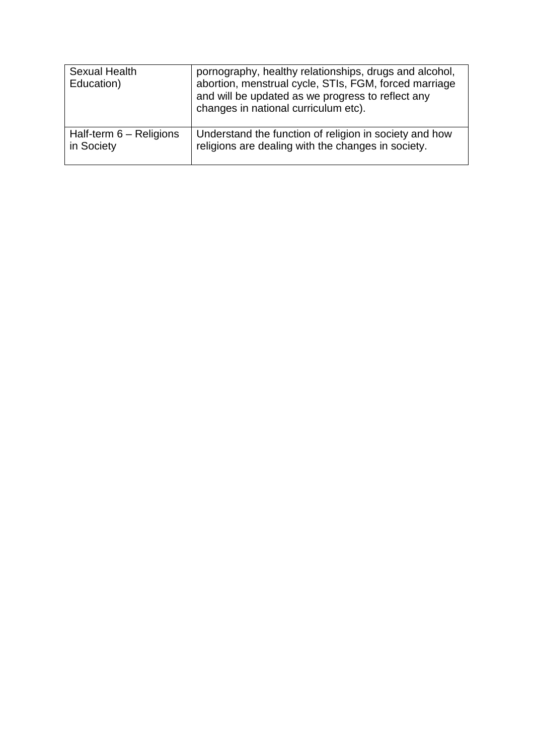| <b>Sexual Health</b><br>Education) | pornography, healthy relationships, drugs and alcohol,<br>abortion, menstrual cycle, STIs, FGM, forced marriage<br>and will be updated as we progress to reflect any<br>changes in national curriculum etc). |
|------------------------------------|--------------------------------------------------------------------------------------------------------------------------------------------------------------------------------------------------------------|
| Half-term $6 -$ Religions          | Understand the function of religion in society and how                                                                                                                                                       |
| in Society                         | religions are dealing with the changes in society.                                                                                                                                                           |